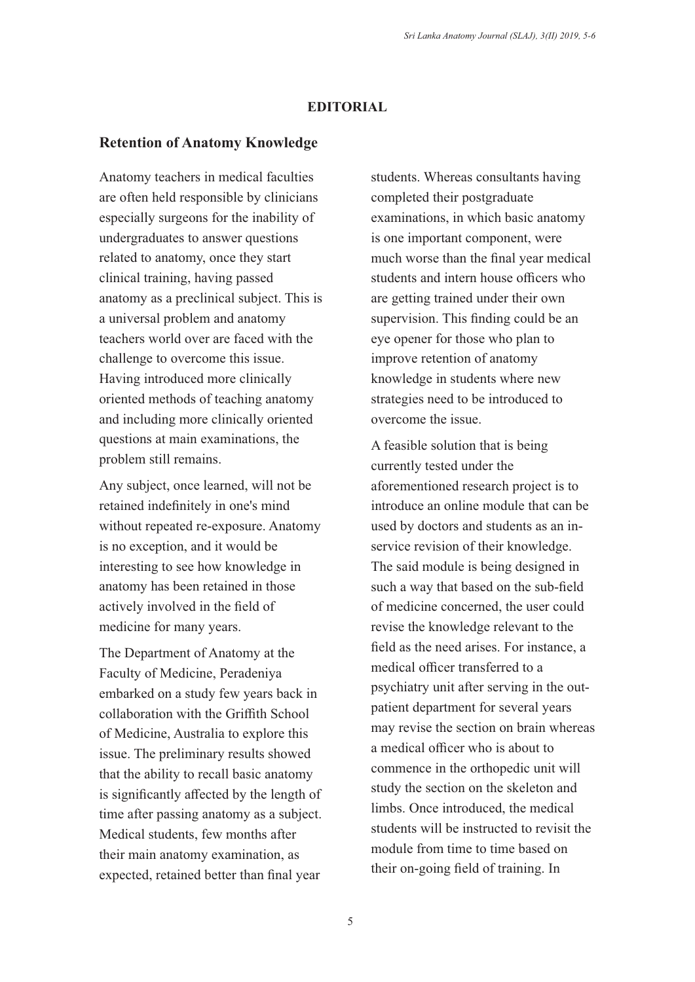## **EDITORIAL**

## **Retention of Anatomy Knowledge**

Anatomy teachers in medical faculties are often held responsible by clinicians especially surgeons for the inability of undergraduates to answer questions related to anatomy, once they start clinical training, having passed anatomy as a preclinical subject. This is a universal problem and anatomy teachers world over are faced with the challenge to overcome this issue. Having introduced more clinically oriented methods of teaching anatomy and including more clinically oriented questions at main examinations, the problem still remains.

Any subject, once learned, will not be retained indefinitely in one's mind without repeated re-exposure. Anatomy is no exception, and it would be interesting to see how knowledge in anatomy has been retained in those actively involved in the field of medicine for many years.

The Department of Anatomy at the Faculty of Medicine, Peradeniya embarked on a study few years back in collaboration with the Griffith School of Medicine, Australia to explore this issue. The preliminary results showed that the ability to recall basic anatomy is significantly affected by the length of time after passing anatomy as a subject. Medical students, few months after their main anatomy examination, as expected, retained better than final year

students. Whereas consultants having completed their postgraduate examinations, in which basic anatomy is one important component, were much worse than the final year medical students and intern house officers who are getting trained under their own supervision. This finding could be an eye opener for those who plan to improve retention of anatomy knowledge in students where new strategies need to be introduced to overcome the issue.

A feasible solution that is being currently tested under the aforementioned research project is to introduce an online module that can be used by doctors and students as an inservice revision of their knowledge. The said module is being designed in such a way that based on the sub-field of medicine concerned, the user could revise the knowledge relevant to the field as the need arises. For instance, a medical officer transferred to a psychiatry unit after serving in the outpatient department for several years may revise the section on brain whereas a medical officer who is about to commence in the orthopedic unit will study the section on the skeleton and limbs. Once introduced, the medical students will be instructed to revisit the module from time to time based on their on-going field of training. In



This is an open-access article distributed under the terms of the Creative Commons Attribution 4.0 International License, which permits unrestricted use, distribution and reproduction in any medium provided the original author and source are credited.